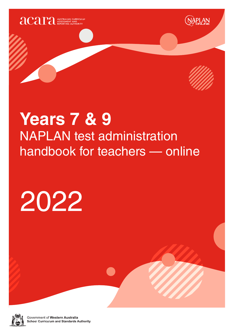



<u> APLAN</u>

## **Years 7 & 9** NAPLAN test administration handbook for teachers — online

# 2022



Government of Western Australia **School Curriculum and Standards Authority**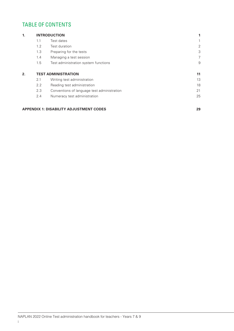#### TABLE OF CONTENTS

| 1. |     | <b>INTRODUCTION</b>                         |                |
|----|-----|---------------------------------------------|----------------|
|    | 1.1 | Test dates                                  |                |
|    | 1.2 | Test duration                               | 2              |
|    | 1.3 | Preparing for the tests                     | 3              |
|    | 1.4 | Managing a test session                     | $\overline{7}$ |
|    | 1.5 | Test administration system functions        | 9              |
| 2. |     | <b>TEST ADMINISTRATION</b>                  | 11             |
|    | 2.1 | Writing test administration                 | 13             |
|    | 2.2 | Reading test administration                 | 18             |
|    | 2.3 | Conventions of language test administration | 21             |
|    | 2.4 | Numeracy test administration                | 25             |

#### **APPENDIX 1: DISABILITY ADJUSTMENT CODES 29**

NAPLAN 2022 Online Test administration handbook for teachers - Years 7 & 9 i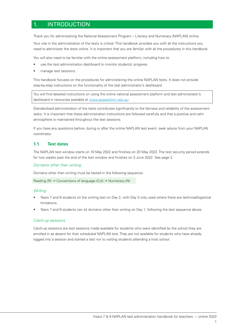#### 1. INTRODUCTION

Thank you for administering the National Assessment Program – Literacy and Numeracy (NAPLAN) online.

Your role in the administration of the tests is critical. This handbook provides you with all the instructions you need to administer the tests online. It is important that you are familiar with all the procedures in this handbook.

You will also need to be familiar with the online assessment platform, including how to:

- use the test administration dashboard to monitor students' progress
- manage test sessions.

This handbook focuses on the procedures for administering the online NAPLAN tests. It does not provide step-by-step instructions on the functionality of the test administrator's dashboard.

You will find detailed instructions on using the online national assessment platform and test administrator's dashboard in resources available at www.assessform.edu.au.

Standardised administration of the tests contributes significantly to the fairness and reliability of the assessment tasks. It is important that these administration instructions are followed carefully and that a positive and calm atmosphere is maintained throughout the test sessions.

If you have any questions before, during or after the online NAPLAN test event, seek advice from your NAPLAN coordinator.

#### **1.1 Test dates**

The NAPLAN test window starts on 10 May 2022 and finishes on 20 May 2022. The test security period extends for two weeks past the end of the test window and finishes on 3 June 2022. See page 2.

#### *Domains other than writing*

Domains other than writing must be tested in the following sequence:

```
Reading (R) \rightarrow Conventions of language (Col) \rightarrow Numeracy (N)
```
#### *Writing*

- Years 7 and 9 students sit the writing test on Day 2, with Day 3 only used where there are technical/logistical limitations.
- Years 7 and 9 students can sit domains other than writing on Day 1, following the test sequence above.

#### *Catch-up sessions*

Catch-up sessions are test sessions made available for students who were identified by the school they are enrolled in as absent for their scheduled NAPLAN test. They are not available for students who have already logged into a session and started a test nor to visiting students attending a host school.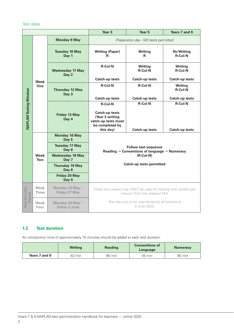#### *Test dates*

|                                |                      | Year <sub>3</sub>                       | Year 5                                                                                                                                                    | Years 7 and 9                    |                                     |
|--------------------------------|----------------------|-----------------------------------------|-----------------------------------------------------------------------------------------------------------------------------------------------------------|----------------------------------|-------------------------------------|
|                                |                      | <b>Monday 9 May</b>                     | Preparation day - NO tests permitted                                                                                                                      |                                  |                                     |
|                                |                      | <b>Tuesday 10 May</b><br>Day 1          | <b>Writing (Paper)</b><br>R                                                                                                                               | <b>Writing</b><br>R              | <b>No Writing</b><br><b>R-Col-N</b> |
|                                |                      | <b>Wednesday 11 May</b><br>Day 2        | <b>R-Col-N</b>                                                                                                                                            | <b>Writing</b><br><b>R-Col-N</b> | <b>Writing</b><br><b>R-Col-N</b>    |
|                                | <b>Week</b>          |                                         | <b>Catch-up tests</b>                                                                                                                                     | <b>Catch-up tests</b>            | <b>Catch-up tests</b>               |
|                                | One                  | <b>Thursday 12 May</b><br>Day 3         | <b>R-Col-N</b>                                                                                                                                            | <b>R-Col-N</b>                   | <b>Writing</b><br><b>R-Col-N</b>    |
|                                |                      |                                         | <b>Catch-up tests</b>                                                                                                                                     | <b>Catch-up tests</b>            | <b>Catch-up tests</b>               |
| <b>NAPLAN Testing Window</b>   |                      | Friday 13 May<br>Day 4                  | <b>R-Col-N</b><br><b>Catch-up tests</b>                                                                                                                   | <b>R-Col-N</b>                   | <b>R-Col-N</b>                      |
|                                |                      |                                         | (Year 3 writing<br>catch-up tests must                                                                                                                    |                                  |                                     |
|                                |                      |                                         | be completed by                                                                                                                                           |                                  |                                     |
|                                |                      |                                         | this day)                                                                                                                                                 | <b>Catch-up tests</b>            | <b>Catch-up tests</b>               |
|                                |                      | <b>Monday 16 May</b><br>Day 5           |                                                                                                                                                           |                                  |                                     |
|                                | <b>Week</b><br>Two   | <b>Tuesday 17 May</b><br>Day 6          | <b>Follow test sequence</b><br>Reading $\rightarrow$ Conventions of language $\rightarrow$ Numeracy<br>$(R$ -Col-N $)$<br><b>Catch-up tests permitted</b> |                                  |                                     |
|                                |                      | <b>Wednesday 18 May</b><br>Day 7        |                                                                                                                                                           |                                  |                                     |
|                                |                      | <b>Thursday 19 May</b><br>Day 8         |                                                                                                                                                           |                                  |                                     |
|                                |                      | <b>Friday 20 May</b><br>Day 9           |                                                                                                                                                           |                                  |                                     |
| <b>Test Security</b><br>Period | Week<br><b>Three</b> | Monday 23 May -<br>Friday 27 May        | These two weeks may ONLY be used for testing with written per-<br>mission from the relevant TAA.                                                          |                                  |                                     |
|                                | Week<br>Four         | Monday 30 May -<br><b>Friday 3 June</b> | Test security to be maintained by all schools to<br>3 June 2022.                                                                                          |                                  |                                     |

#### **1.2 Test duration**

An introduction time of approximately 15 minutes should be added to each test duration.

|               | <b>Writing</b> | <b>Reading</b> | <b>Conventions of</b><br>Language | <b>Numeracy</b> |
|---------------|----------------|----------------|-----------------------------------|-----------------|
| Years 7 and 9 | 42 min         | 65 min         | 45 min                            | 65 min          |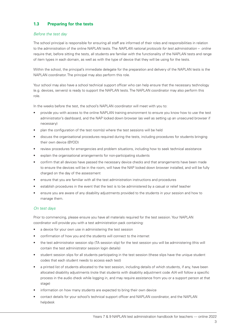#### **1.3 Preparing for the tests**

#### *Before the test day*

The school principal is responsible for ensuring all staff are informed of their roles and responsibilities in relation to the administration of the online NAPLAN tests. The *NAPLAN national protocols for test administration – online* require that, before sitting the tests, all students are familiar with the functionality of the NAPLAN tests and range of item types in each domain, as well as with the type of device that they will be using for the tests.

Within the school, the principal's immediate delegate for the preparation and delivery of the NAPLAN tests is the NAPLAN coordinator. The principal may also perform this role.

Your school may also have a school technical support officer who can help ensure that the necessary technology (e.g. devices, servers) is ready to support the NAPLAN tests. The NAPLAN coordinator may also perform this role.

In the weeks before the test, the school's NAPLAN coordinator will meet with you to:

- provide you with access to the online NAPLAN training environment to ensure you know how to use the test administrator's dashboard, and the NAP locked down browser (as well as setting up an unsecured browser if necessary)
- plan the configuration of the test room(s) where the test sessions will be held
- discuss the organisational procedures required during the tests, including procedures for students bringing their own device (BYOD)
- review procedures for emergencies and problem situations, including how to seek technical assistance
- explain the organisational arrangements for non-participating students
- confirm that all devices have passed the necessary device checks and that arrangements have been made to ensure the devices will be in the room, will have the NAP locked down browser installed, and will be fully charged on the day of the assessment
- ensure that you are familiar with all the test administration instructions and procedures
- establish procedures in the event that the test is to be administered by a casual or relief teacher
- ensure you are aware of any disability adjustments provided to the students in your session and how to manage them.

#### *On test days*

Prior to commencing, please ensure you have all materials required for the test session. Your NAPLAN coordinator will provide you with a test administration pack containing:

- a device for your own use in administering the test session
- confirmation of how you and the students will connect to the internet
- the test administrator session slip (TA session slip) for the test session you will be administering (this will contain the test administrator session login details)
- student session slips for all students participating in the test session (these slips have the unique student codes that each student needs to access each test)
- a printed list of students allocated to the test session, including details of which students, if any, have been allocated disability adjustments (note that students with disability adjustment code *AIA* will follow a specific process in the audio check while logging in, and may require assistance from you or a support person at that stage)
- information on how many students are expected to bring their own device
- contact details for your school's technical support officer and NAPLAN coordinator, and the NAPLAN helpdesk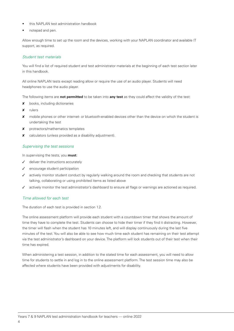- this NAPLAN test administration handbook
- notepad and pen.

Allow enough time to set up the room and the devices, working with your NAPLAN coordinator and available IT support, as required.

#### *Student test materials*

You will find a list of required student and test administrator materials at the beginning of each test section later in this handbook.

All online NAPLAN tests except reading allow or require the use of an audio player. Students will need headphones to use the audio player.

The following items are **not permitted** to be taken into **any test** as they could affect the validity of the test:

- **x** books, including dictionaries
- 8 rulers
- 8 mobile phones or other internet- or bluetooth-enabled devices other than the device on which the student is undertaking the test
- 8 protractors/mathematics templates
- 8 calculators (unless provided as a disability adjustment).

#### *Supervising the test sessions*

In supervising the tests, you **must**:

- $J$  deliver the instructions accurately
- $\checkmark$  encourage student participation
- $\checkmark$  actively monitor student conduct by regularly walking around the room and checking that students are not talking, collaborating or using prohibited items as listed above
- actively monitor the test administrator's dashboard to ensure all flags or warnings are actioned as required.

#### *Time allowed for each test*

The duration of each test is provided in section 1.2.

The online assessment platform will provide each student with a countdown timer that shows the amount of time they have to complete the test. Students can choose to hide their timer if they find it distracting. However, the timer will flash when the student has 10 minutes left, and will display continuously during the last five minutes of the test. You will also be able to see how much time each student has remaining on their test attempt via the test administrator's dashboard on your device. The platform will lock students out of their test when their time has expired.

When administering a test session, in addition to the stated time for each assessment, you will need to allow time for students to settle in and log in to the online assessment platform. The test session time may also be affected where students have been provided with adjustments for disability.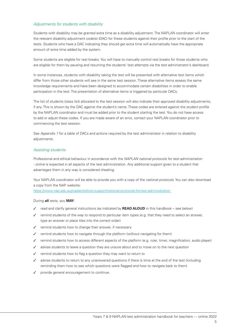#### *Adjustments for students with disability*

Students with disability may be granted extra time as a disability adjustment. The NAPLAN coordinator will enter the relevant disability adjustment code(s) (DAC) for these students against their profile prior to the start of the tests. Students who have a DAC indicating they should get extra time will automatically have the appropriate amount of extra time added by the system.

Some students are eligible for rest breaks. You will have to manually control rest breaks for those students who are eligible for them by pausing and resuming the students' test attempts via the test administrator's dashboard.

In some instances, students with disability taking the test will be presented with alternative test items which differ from those other students will see in the same test session. These alternative items assess the same knowledge requirements and have been designed to accommodate certain disabilities in order to enable participation in the test. The presentation of alternative items is triggered by particular DACs.

The list of students (class list) allocated to the test session will also indicate their approved disability adjustments, if any. This is shown by the DAC against the student's name. These codes are entered against the student profile by the NAPLAN coordinator and must be added prior to the student starting the test. You do not have access to add or adjust these codes. If you are made aware of an error, contact your NAPLAN coordinator prior to commencing the test session.

See *Appendix 1* for a table of DACs and actions required by the test administrator in relation to disability adjustments.

#### *Assisting students*

Professional and ethical behaviour in accordance with the *NAPLAN national protocols for test administration - online* is expected in all aspects of the test administration. Any additional support given to a student that advantages them in any way is considered cheating.

Your NAPLAN coordinator will be able to provide you with a copy of the *national protocols*. You can also download a copy from the NAP website:

https://www.nap.edu.au/naplan/school-support/national-protocols-for-test-administration.

#### During **all** tests, you **MAY**:

- √ read and clarify general instructions (as indicated by **READ ALOUD** in this handbook see below)
- $\checkmark$  remind students of the way to respond to particular item types (e.g. that they need to select an answer, type an answer or place tiles into the correct order)
- remind students how to change their answer, if necessary
- remind students how to navigate through the platform (without navigating for them)
- 3 remind students how to access different aspects of the platform (e.g. ruler, timer, magnification, audio player)
- advise students to leave a question they are unsure about and to move on to the next question
- remind students how to flag a question they may want to return to
- advise students to return to any unanswered questions if there is time at the end of the test (including reminding them how to see which questions were flagged and how to navigate back to them)
- provide general encouragement to continue.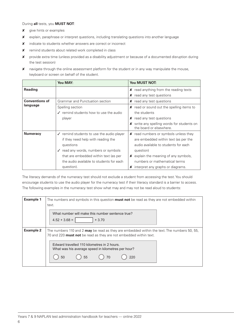During **all** tests, you **MUST NOT**:

- **x** give hints or examples
- 8 explain, paraphrase or interpret questions, including translating questions into another language
- 8 indicate to students whether answers are correct or incorrect
- 8 remind students about related work completed in class
- 8 provide extra time (unless provided as a disability adjustment or because of a documented disruption during the test session)
- 8 navigate through the online assessment platform for the student or in any way manipulate the mouse, keyboard or screen on behalf of the student.

|                       | You MAY:                                                                                                                                                                                                                                                    | <b>You MUST NOT:</b>                                                                                                                                                                                                                                |
|-----------------------|-------------------------------------------------------------------------------------------------------------------------------------------------------------------------------------------------------------------------------------------------------------|-----------------------------------------------------------------------------------------------------------------------------------------------------------------------------------------------------------------------------------------------------|
| <b>Reading</b>        |                                                                                                                                                                                                                                                             | read anything from the reading texts<br>x                                                                                                                                                                                                           |
|                       |                                                                                                                                                                                                                                                             | read any test questions<br>x                                                                                                                                                                                                                        |
| <b>Conventions of</b> | Grammar and Punctuation section                                                                                                                                                                                                                             | $x$ read any test questions                                                                                                                                                                                                                         |
| language              | Spelling section                                                                                                                                                                                                                                            | $\boldsymbol{\mathsf{X}}$ read or sound out the spelling items to                                                                                                                                                                                   |
|                       | $\sqrt{\ }$ remind students how to use the audio                                                                                                                                                                                                            | the students                                                                                                                                                                                                                                        |
|                       | player                                                                                                                                                                                                                                                      | <b>x</b> read any test questions                                                                                                                                                                                                                    |
|                       |                                                                                                                                                                                                                                                             | X write any spelling words for students on<br>the board or elsewhere.                                                                                                                                                                               |
| <b>Numeracy</b>       | $\sqrt{\ }$ remind students to use the audio player<br>if they need help with reading the<br>questions<br>$\sqrt{\ }$ read any words, numbers or symbols<br>that are embedded within text (as per<br>the audio available to students for each<br>question). | X read numbers or symbols unless they<br>are embedded within text (as per the<br>audio available to students for each<br>question)<br>$x$ explain the meaning of any symbols,<br>numbers or mathematical terms<br>interpret any graphs or diagrams. |

The literacy demands of the numeracy test should not exclude a student from accessing the test. You should encourage students to use the audio player for the numeracy test if their literacy standard is a barrier to access. The following examples in the numeracy test show what may and may not be read aloud to students:

| <b>Example 1</b> | The numbers and symbols in this question <b>must not</b> be read as they are not embedded within<br>text.                                                                                                                                                                                                    |  |  |
|------------------|--------------------------------------------------------------------------------------------------------------------------------------------------------------------------------------------------------------------------------------------------------------------------------------------------------------|--|--|
|                  | What number will make this number sentence true?<br>$+3.70$<br>$4.52 + 3.68 =$                                                                                                                                                                                                                               |  |  |
| <b>Example 2</b> | The numbers 110 and 2 <b>may</b> be read as they are embedded within the text. The numbers 50, 55,<br>70 and 220 <b>must not</b> be read as they are not embedded within text.<br>Foward travelled 110 kilometres in 2 hours.<br>What was his average speed in kilometres per hour?<br>50<br>55<br>70<br>220 |  |  |

Rounding to the nearest 1000 and nearest 10 000.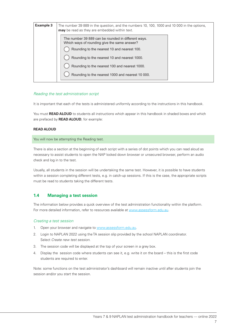| <b>Example 3</b> | The number 39 889 in the question, and the numbers 10, 100, 1000 and 10 000 in the options,<br><b>may</b> be read as they are embedded within text. |
|------------------|-----------------------------------------------------------------------------------------------------------------------------------------------------|
|                  | The number 39 889 can be rounded in different ways.<br>Which ways of rounding give the same answer?                                                 |
|                  | Rounding to the nearest 10 and nearest 100.                                                                                                         |
|                  | Rounding to the nearest 10 and nearest 1000.                                                                                                        |
|                  | Rounding to the nearest 100 and nearest 1000.                                                                                                       |
|                  | Rounding to the nearest 1000 and nearest 10 000.                                                                                                    |

#### *Reading the test administration script*

It is important that each of the tests is administered uniformly according to the instructions in this handbook.

You must **READ ALOUD** to students all instructions which appear in this handbook in shaded boxes and which are prefaced by **READ ALOUD**, for example:

#### **READ ALOUD**

#### You will now be attempting the Reading test.

There is also a section at the beginning of each script with a series of dot points which you can read aloud as necessary to assist students to open the NAP locked down browser or unsecured browser, perform an audio check and log in to the test.

Usually, all students in the session will be undertaking the same test. However, it is possible to have students within a session completing different tests, e.g. in catch-up sessions. If this is the case, the appropriate scripts must be read to students taking the different tests.

#### **1.4 Managing a test session**

The information below provides a quick overview of the test administration functionality within the platform. For more detailed information, refer to resources available at www.assessform.edu.au.

#### *Creating a test session*

- 1. Open your browser and navigate to www.assessform.edu.au.
- 2. Login to NAPLAN 2022 using the TA session slip provided by the school NAPLAN coordinator. Select *Create new test session*.
- 3. The session code will be displayed at the top of your screen in a grey box.
- 4. Display the session code where students can see it, e.g. write it on the board this is the first code students are required to enter.

Note: some functions on the test administrator's dashboard will remain inactive until after students join the session and/or you start the session.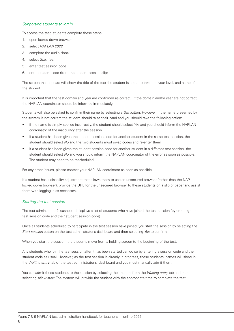#### *Supporting students to log in*

To access the test, students complete these steps:

- 1. open locked down browser
- 2. select *NAPLAN 2022*
- 3. complete the audio check
- 4. select *Start test*
- 5. enter test session code
- 6. enter student code (from the student session slip)

The screen that appears will show the title of the test the student is about to take, the year level, and name of the student.

It is important that the test domain and year are confirmed as correct. If the domain and/or year are not correct, the NAPLAN coordinator should be informed immediately.

Students will also be asked to confirm their name by selecting a *Yes* button. However, if the name presented by the system is not correct the student should raise their hand and you should take the following action:

- if the name is simply spelled incorrectly, the student should select *Yes* and you should inform the NAPLAN coordinator of the inaccuracy after the session
- if a student has been given the student session code for another student in the same test session, the student should select *No* and the two students must swap codes and re-enter them
- if a student has been given the student session code for another student in a different test session, the student should select *No* and you should inform the NAPLAN coordinator of the error as soon as possible. The student may need to be rescheduled.

For any other issues, please contact your NAPLAN coordinator as soon as possible.

If a student has a disability adjustment that allows them to use an unsecured browser (rather than the NAP locked down browser), provide the URL for the unsecured browser to these students on a slip of paper and assist them with logging in as necessary.

#### *Starting the test session*

The test administrator's dashboard displays a list of students who have joined the test session (by entering the test session code and their student session code).

Once all students scheduled to participate in the test session have joined, you start the session by selecting the *Start session* button on the test administrator's dashboard and then selecting *Yes* to confirm.

When you start the session, the students move from a holding screen to the beginning of the test.

Any students who join the test session after it has been started can do so by entering a session code and their student code as usual. However, as the test session is already in progress, these students' names will show in the *Waiting entry* tab of the test administrator's dashboard and you must manually admit them.

You can admit these students to the session by selecting their names from the *Waiting entry* tab and then selecting *Allow start*. The system will provide the student with the appropriate time to complete the test.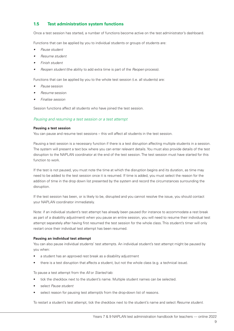#### **1.5 Test administration system functions**

Once a test session has started, a number of functions become active on the test administrator's dashboard.

Functions that can be applied by you to individual students or groups of students are:

- *• Pause student*
- *• Resume student*
- *• Finish student*
- *• Reopen student* (the ability to add extra time is part of the *Reopen* process).

Functions that can be applied by you to the whole test session (i.e. all students) are:

- *• Pause* session
- *• Resume* session
- *• Finalise session*

Session functions affect all students who have joined the test session.

#### *Pausing and resuming a test session or a test attempt*

#### **Pausing a test session**

You can pause and resume test sessions – this will affect all students in the test session.

Pausing a test session is a necessary function if there is a test disruption affecting multiple students in a session. The system will present a text box where you can enter relevant details. You must also provide details of the test disruption to the NAPLAN coordinator at the end of the test session. The test session must have started for this function to work.

If the test is not paused, you must note the time at which the disruption begins and its duration, as time may need to be added to the test session once it is resumed. If time is added, you must select the reason for the addition of time in the drop down list presented by the system and record the circumstances surrounding the disruption.

If the test session has been, or is likely to be, disrupted and you cannot resolve the issue, you should contact your NAPLAN coordinator immediately.

Note: if an individual student's test attempt has already been paused (for instance to accommodate a rest break as part of a disability adjustment) when you pause an entire session, you will need to resume their individual test attempt separately after having first resumed the test session for the whole class. This student's timer will only restart once their individual test attempt has been resumed.

#### **Pausing an individual test attempt**

You can also pause individual students' test attempts. An individual student's test attempt might be paused by you when:

- a student has an approved rest break as a disability adjustment
- there is a test disruption that affects a student, but not the whole class (e.g. a technical issue).

To pause a test attempt from the *All* or *Started* tab:

- tick the checkbox next to the student's name. Multiple student names can be selected.
- select *Pause student*
- select reason for pausing test attempt/s from the drop-down list of reasons.

To restart a student's test attempt, tick the checkbox next to the student's name and select *Resume student*.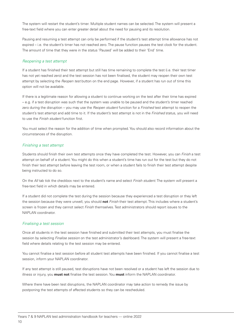The system will restart the student's timer. Multiple student names can be selected. The system will present a free-text field where you can enter greater detail about the need for pausing and its resolution.

Pausing and resuming a test attempt can only be performed if the student's test attempt time allowance has not expired – i.e. the student's timer has not reached zero. The pause function pauses the test clock for the student. The amount of time that they were in the status 'Paused' will be added to their 'End' time.

#### *Reopening a test attempt*

If a student has finished their test attempt but still has time remaining to complete the test (i.e. their test timer has not yet reached zero) and the test session has not been finalised, the student may reopen their own test attempt by selecting the *Reopen test* button on the end page. However, if a student has run out of time this option will not be available.

If there is a legitimate reason for allowing a student to continue working on the test after their time has expired – e.g. if a test disruption was such that the system was unable to be paused and the student's timer reached zero during the disruption – you may use the *Reopen student* function for a *Finished* test attempt to reopen the student's test attempt and add time to it. If the student's test attempt is not in the *Finished* status, you will need to use the *Finish student* function first.

You must select the reason for the addition of time when prompted. You should also record information about the circumstances of the disruption.

#### *Finishing a test attempt*

Students should finish their own test attempts once they have completed the test. However, you can *Finish* a test attempt on behalf of a student. You might do this when a student's time has run out for the test but they do not finish their test attempt before leaving the test room, or when a student fails to finish their test attempt despite being instructed to do so.

On the *All* tab tick the checkbox next to the student's name and select *Finish student*. The system will present a free-text field in which details may be entered.

If a student did not complete the test during the session because they experienced a test disruption or they left the session because they were unwell, you should **not** *Finish* their test attempt. This includes where a student's screen is frozen and they cannot select *Finish* themselves. Test administrators should report issues to the NAPLAN coordinator.

#### *Finalising a test session*

Once all students in the test session have finished and submitted their test attempts, you must finalise the session by selecting *Finalise session* on the test administrator's dashboard. The system will present a free-text field where details relating to the test session may be entered.

You cannot finalise a test session before all student test attempts have been finished. If you cannot finalise a test session, inform your NAPLAN coordinator.

If any test attempt is still paused, test disruptions have not been resolved or a student has left the session due to illness or injury, you **must not** finalise the test session. You **must** inform the NAPLAN coordinator.

Where there have been test disruptions, the NAPLAN coordinator may take action to remedy the issue by postponing the test attempts of affected students so they can be rescheduled.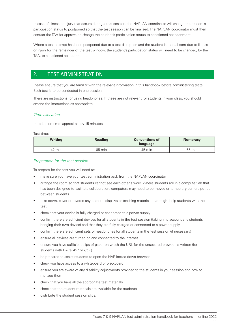In case of illness or injury that occurs during a test session, the NAPLAN coordinator will change the student's participation status to postponed so that the test session can be finalised. The NAPLAN coordinator must then contact the TAA for approval to change the student's participation status to sanctioned abandonment.

Where a test attempt has been postponed due to a test disruption and the student is then absent due to illness or injury for the remainder of the test window, the student's participation status will need to be changed, by the TAA, to sanctioned abandonment.

#### 2. TEST ADMINISTRATION

Please ensure that you are familiar with the relevant information in this handbook before administering tests. Each test is to be conducted in one session.

There are instructions for using headphones. If these are not relevant for students in your class, you should amend the instructions as appropriate.

#### *Time allocation*

Introduction time: approximately 15 minutes

#### Test time:

| <b>Writing</b> | <b>Reading</b> | <b>Conventions of</b><br>language | <b>Numeracy</b> |
|----------------|----------------|-----------------------------------|-----------------|
| 42 min         | 65 min         | 45 min                            | 65 min          |

#### *Preparation for the test session*

To prepare for the test you will need to:

- make sure you have your test administration pack from the NAPLAN coordinator
- arrange the room so that students cannot see each other's work. Where students are in a computer lab that has been designed to facilitate collaboration, computers may need to be moved or temporary barriers put up between students
- take down, cover or reverse any posters, displays or teaching materials that might help students with the test
- check that your device is fully charged or connected to a power supply
- confirm there are sufficient devices for all students in the test session (taking into account any students bringing their own device) and that they are fully charged or connected to a power supply
- confirm there are sufficient sets of headphones for all students in the test session (if necessary)
- ensure all devices are turned on and connected to the internet
- ensure you have sufficient slips of paper on which the URL for the unsecured browser is written (for students with DACs *AST* or *COL*)
- be prepared to assist students to open the NAP locked down browser
- check you have access to a whiteboard or blackboard
- ensure you are aware of any disability adjustments provided to the students in your session and how to manage them
- check that you have all the appropriate test materials
- check that the student materials are available for the students
- distribute the student session slips.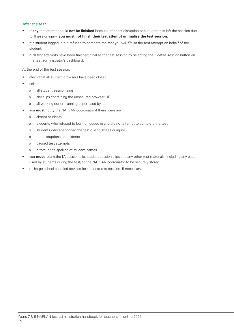#### *After the test*

- If **any** test attempt could **not be finished** because of a test disruption or a student has left the session due to illness or injury, **you must not finish their test attempt or finalise the test session.**
- If a student logged in but refused to compete the test you will *Finish* the test attempt on behalf of the student.
- If all test attempts have been finished, finalise the test session by selecting the *Finalise session* button on the test administrator's dashboard.

At the end of the test session:

- check that all student browsers have been closed
- collect:
	- o all student session slips
	- o any slips containing the unsecured browser URL
	- o all working-out or planning paper used by students
- you **must** notify the NAPLAN coordinator if there were any:
	- o absent students
	- o students who refused to login or logged in and did not attempt to complete the test
	- o students who abandoned the test due to illness or injury
	- o test disruptions or incidents
	- o paused test attempts
	- o errors in the spelling of student names
- you **must** return the TA session slip, student session slips and any other test materials (including any paper used by students during the test) to the NAPLAN coordinator to be securely stored
- recharge school-supplied devices for the next test session, if necessary.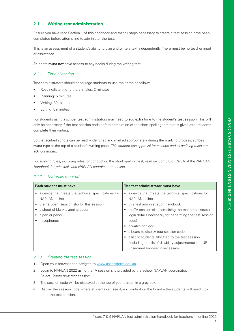#### **2.1 Writing test administration**

Ensure you have read Section 1 of this handbook and that all steps necessary to create a test session have been completed before attempting to administer the test.

This is an assessment of a student's ability to plan and write a text independently. There must be no teacher input or assistance.

Students **must not** have access to any books during the writing test.

#### *2.1.1 Time allocation*

Test administrators should encourage students to use their time as follows:

- Reading/listening to the stimulus: 2 minutes
- Planning: 5 minutes
- Writing: 30 minutes
- Editing: 5 minutes

For students using a scribe, test administrators may need to add extra time to the student's test session. This will only be necessary if the test session ends before completion of the short spelling test that is given after students complete their writing.

So that scribed scripts can be readily identified and marked appropriately during the marking process, scribes **must** type at the top of a student's writing pane, *This student has approval for a scribe and all scribing rules are acknowledged.*

For scribing rules, including rules for conducting the short spelling test, read section 6.8 of Part A of the *NAPLAN Handbook for principals and NAPLAN coordinators - online*.

#### *2.1.2 Materials required*

| Each student must have                               | The test administrator must have                                  |  |
|------------------------------------------------------|-------------------------------------------------------------------|--|
| a device that meets the technical specifications for | a device that meets the technical specifications for<br>$\bullet$ |  |
| NAPLAN online                                        | NAPLAN online                                                     |  |
| their student session slip for this session          | this test administration handbook<br>$\bullet$                    |  |
| a sheet of blank planning paper                      | the TA session slip (containing the test administrator            |  |
| a pen or pencil                                      | login details necessary for generating the test session           |  |
| headphones                                           | code)                                                             |  |
|                                                      | a watch or clock<br>$\bullet$                                     |  |
|                                                      | a board to display test session code<br>٠                         |  |
|                                                      | a list of students allocated to the test session<br>$\bullet$     |  |
|                                                      | (including details of disability adjustments) and URL for         |  |
|                                                      | unsecured browser if necessary.                                   |  |

#### *2.1.3 Creating the test session*

- 1. Open your browser and navigate to www.assessform.edu.au.
- 2. Login to NAPLAN 2022 using the TA session slip provided by the school NAPLAN coordinator. Select *Create new test session*.
- 3. The session code will be displayed at the top of your screen in a grey box.
- 4. Display the session code where students can see it, e.g. write it on the board the students will need it to enter the test session.

#### 13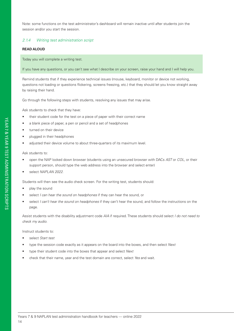Note: some functions on the test administrator's dashboard will remain inactive until after students join the session and/or you start the session.

#### *2.1.4 Writing test administration script*

#### **READ ALOUD**

Today you will complete a writing test.

If you have any questions, or you can't see what I describe on your screen, raise your hand and I will help you.

Remind students that if they experience technical issues (mouse, keyboard, monitor or device not working, questions not loading or questions flickering, screens freezing, etc.) that they should let you know straight away by raising their hand.

Go through the following steps with students, resolving any issues that may arise.

Ask students to check that they have:

- their student code for the test on a piece of paper with their correct name
- a blank piece of paper, a pen or pencil and a set of headphones
- turned on their device
- plugged in their headphones
- adjusted their device volume to about three-quarters of its maximum level.

Ask students to:

- open the NAP locked down browser (students using an unsecured browser with DACs *AST* or *COL*, or their support person, should type the web address into the browser and select enter)
- select *NAPLAN 2022*.

Students will then see the audio check screen. For the writing test, students should:

- play the sound
- select *I can hear the sound on headphones* if they can hear the sound, or
- select *I can't hear the sound on headphones* if they can't hear the sound, and follow the instructions on the page.

Assist students with the disability adjustment code *AIA* if required. These students should select *I do not need to check my audio*.

Instruct students to:

- select *Start test*
- type the session code exactly as it appears on the board into the boxes, and then select *Next*
- type their student code into the boxes that appear and select *Next*
- check that their name, year and the test domain are correct, select *Yes* and wait.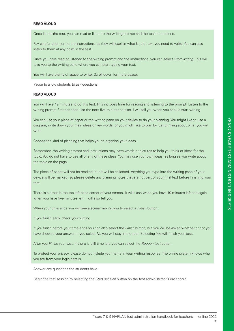#### **READ ALOUD**

Once I start the test, you can read or listen to the writing prompt and the test instructions.

Pay careful attention to the instructions, as they will explain what kind of text you need to write. You can also listen to them at any point in the test.

Once you have read or listened to the writing prompt and the instructions, you can select *Start writing*. This will take you to the writing pane where you can start typing your text.

You will have plenty of space to write. Scroll down for more space.

Pause to allow students to ask questions.

#### **READ ALOUD**

You will have 42 minutes to do this test. This includes time for reading and listening to the prompt. Listen to the writing prompt first and then use the next five minutes to plan. I will tell you when you should start writing.

You can use your piece of paper or the writing pane on your device to do your planning. You might like to use a diagram, write down your main ideas or key words, or you might like to plan by just thinking about what you will write.

Choose the kind of planning that helps you to organise your ideas.

Remember, the writing prompt and instructions may have words or pictures to help you think of ideas for the topic. You do not have to use all or any of these ideas. You may use your own ideas, as long as you write about the topic on the page.

The piece of paper will not be marked, but it will be collected. Anything you type into the writing pane of your device will be marked, so please delete any planning notes that are not part of your final text before finishing your test.

There is a timer in the top left-hand corner of your screen. It will flash when you have 10 minutes left and again when you have five minutes left. I will also tell you.

When your time ends you will see a screen asking you to select a *Finish* button.

If you finish early, check your writing.

If you finish before your time ends you can also select the *Finish* button, but you will be asked whether or not you have checked your answer. If you select *No* you will stay in the test. Selecting *Yes* will finish your test.

After you *Finish* your test, if there is still time left, you can select the *Reopen test* button.

To protect your privacy, please do not include your name in your writing response. The online system knows who you are from your login details.

Answer any questions the students have.

Begin the test session by selecting the *Start session* button on the test administrator's dashboard.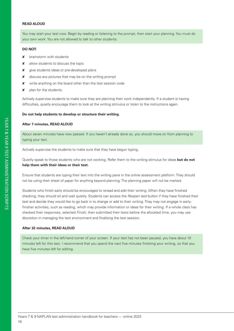#### **READ ALOUD**

You may start your test now. Begin by reading or listening to the prompt, then start your planning. You must do your own work. You are not allowed to talk to other students.

#### **DO NOT:**

- **x** brainstorm with students
- **x** allow students to discuss the topic
- **x** give students ideas or pre-developed plans
- **X** discuss any pictures that may be on the writing prompt
- **X** write anything on the board other than the test session code
- $x$  plan for the students.

Actively supervise students to make sure they are planning their work independently. If a student is having difficulties, quietly encourage them to look at the writing stimulus or listen to the instructions again.

#### **Do not help students to develop or structure their writing.**

#### **After 7 minutes, READ ALOUD**

About seven minutes have now passed. If you haven't already done so, you should move on from planning to typing your text.

Actively supervise the students to make sure that they have begun typing.

Quietly speak to those students who are not working. Refer them to the writing stimulus for ideas **but do not help them with their ideas or their text.**

Ensure that students are typing their text into the writing pane in the online assessment platform. They should not be using their sheet of paper for anything beyond planning. The planning paper will not be marked.

Students who finish early should be encouraged to reread and edit their writing. When they have finished checking, they should sit and wait quietly. Students can access the *Reopen test* button if they have finished their test and decide they would like to go back in to change or add to their writing. They may not engage in earlyfinisher activities, such as reading, which may provide information or ideas for their writing. If a whole class has checked their responses, selected *Finish*, then submitted their tests before the allocated time, you may use discretion in managing the test environment and finalising the test session.

#### **After 32 minutes, READ ALOUD**

Check your timer in the left-hand corner of your screen. If your test has not been paused, you have about 10 minutes left for this test. I recommend that you spend the next five minutes finishing your writing, so that you have five minutes left for editing.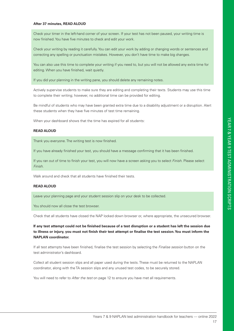#### **After 37 minutes, READ ALOUD**

Check your timer in the left-hand corner of your screen. If your test has not been paused, your writing time is now finished. You have five minutes to check and edit your work.

Check your writing by reading it carefully. You can edit your work by adding or changing words or sentences and correcting any spelling or punctuation mistakes. However, you don't have time to make big changes.

You can also use this time to complete your writing if you need to, but you will not be allowed any extra time for editing. When you have finished, wait quietly.

If you did your planning in the writing pane, you should delete any remaining notes.

Actively supervise students to make sure they are editing and completing their texts. Students may use this time to complete their writing; however, no additional time can be provided for editing.

Be mindful of students who may have been granted extra time due to a disability adjustment or a disruption. Alert these students when they have five minutes of test time remaining.

When your dashboard shows that the time has expired for all students:

#### **READ ALOUD**

Thank you everyone. The writing test is now finished.

If you have already finished your test, you should have a message confirming that it has been finished.

If you ran out of time to finish your test, you will now have a screen asking you to select *Finish*. Please select *Finish*.

Walk around and check that all students have finished their tests.

#### **READ ALOUD**

Leave your planning page and your student session slip on your desk to be collected.

You should now all close the test browser.

Check that all students have closed the NAP locked down browser or, where appropriate, the unsecured browser.

**If any test attempt could not be finished because of a test disruption or a student has left the session due to illness or injury, you must not finish their test attempt or finalise the test session. You must inform the NAPLAN coordinator.**

If all test attempts have been finished, finalise the test session by selecting the *Finalise session* button on the test administrator's dashboard.

Collect all student session slips and all paper used during the tests. These must be returned to the NAPLAN coordinator, along with the TA session slips and any unused test codes, to be securely stored.

You will need to refer to *After the test* on page 12 to ensure you have met all requirements.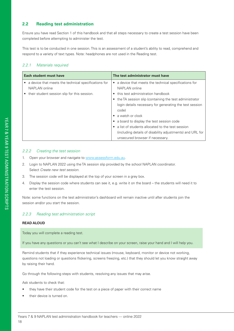#### **2.2 Reading test administration**

Ensure you have read Section 1 of this handbook and that all steps necessary to create a test session have been completed before attempting to administer the test.

This test is to be conducted in one session. This is an assessment of a student's ability to read, comprehend and respond to a variety of text types. Note: headphones are not used in the Reading test.

#### *2.2.1 Materials required*

| Each student must have                                                                                                  | The test administrator must have                                                                                                                                                                                                                                                                                                                                                                                                                                                        |  |
|-------------------------------------------------------------------------------------------------------------------------|-----------------------------------------------------------------------------------------------------------------------------------------------------------------------------------------------------------------------------------------------------------------------------------------------------------------------------------------------------------------------------------------------------------------------------------------------------------------------------------------|--|
| a device that meets the technical specifications for<br>NAPLAN online<br>• their student session slip for this session. | a device that meets the technical specifications for<br>$\bullet$<br>NAPLAN online<br>• this test administration handbook<br>• the TA session slip (containing the test administrator<br>login details necessary for generating the test session<br>code)<br>$\bullet$ a watch or clock<br>a board to display the test session code<br>a list of students allocated to the test session<br>(including details of disability adjustments) and URL for<br>unsecured browser if necessary. |  |

#### *2.2.2 Creating the test session*

- 1. Open your browser and navigate to www.assessform.edu.au.
- 2. Login to NAPLAN 2022 using the TA session slip provided by the school NAPLAN coordinator. Select *Create new test session*.
- 3. The session code will be displayed at the top of your screen in a grey box.
- 4. Display the session code where students can see it, e.g. write it on the board the students will need it to enter the test session.

Note: some functions on the test administrator's dashboard will remain inactive until after students join the session and/or you start the session.

#### *2.2.3 Reading test administration script*

#### **READ ALOUD**

Today you will complete a reading test.

If you have any questions or you can't see what I describe on your screen, raise your hand and I will help you.

Remind students that if they experience technical issues (mouse, keyboard, monitor or device not working, questions not loading or questions flickering, screens freezing, etc.) that they should let you know straight away by raising their hand.

Go through the following steps with students, resolving any issues that may arise.

Ask students to check that:

- they have their student code for the test on a piece of paper with their correct name
- their device is turned on.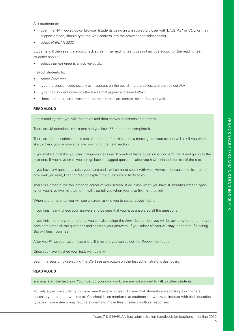Ask students to:

- open the NAP locked down browser (students using an unsecured browser with DACs *AST* or *COL*, or their support person, should type the web address into the browser and select enter)
- select *NAPLAN 2022.*

Students will then see the audio check screen. The reading test does not include audio. For the reading test, students should:

• select *I do not need to check my audio*.

Instruct students to:

- select *Start test*
- type the session code exactly as it appears on the board into the boxes, and then select *Next*
- type their student code into the boxes that appear and select *Next*
- check that their name, year and the test domain are correct, select *Yes* and wait.

#### **READ ALOUD**

In this reading test, you will read texts and then answer questions about them.

There are 48 questions in this test and you have 65 minutes to complete it.

There are three sections in this test. At the end of each section a message on your screen will ask if you would like to check your answers before moving to the next section.

If you make a mistake, you can change your answer. If you find that a question is too hard, flag it and go on to the next one. If you have time, you can go back to flagged questions after you have finished the rest of the test.

If you have any questions, raise your hand and I will come to speak with you. However, because this is a test of how well you read, I cannot read or explain the questions or texts to you.

There is a timer in the top left-hand corner of your screen. It will flash when you have 10 minutes left and again when you have five minutes left. I will also tell you when you have five minutes left.

When your time ends you will see a screen asking you to select a *Finish* button.

If you finish early, check your answers and be sure that you have answered all the questions.

If you finish before your time ends you can also select the *Finish* button, but you will be asked whether or not you have completed all the questions and checked your answers. If you select *No* you will stay in the test. Selecting *Yes* will finish your test.

After you *Finish* your test, if there is still time left, you can select the *Reopen test* button.

Once you have finished your test, wait quietly.

Begin the session by selecting the *Start session* button on the test administrator's dashboard.

#### **READ ALOUD**

You may start the test now. You must do your own work. You are not allowed to talk to other students.

Actively supervise students to make sure they are on task. Ensure that students are scrolling down where necessary to read the whole text. You should also monitor that students know how to interact with each question type, e.g. some items may require students to move tiles or select multiple responses.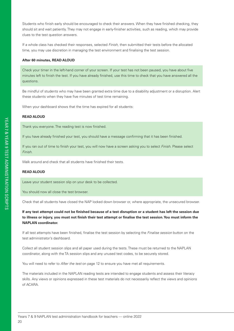Students who finish early should be encouraged to check their answers. When they have finished checking, they should sit and wait patiently. They may not engage in early-finisher activities, such as reading, which may provide clues to the test question answers.

If a whole class has checked their responses, selected *Finish*, then submitted their tests before the allocated time, you may use discretion in managing the test environment and finalising the test session.

#### **After 60 minutes, READ ALOUD**

Check your timer in the left-hand corner of your screen. If your test has not been paused, you have about five minutes left to finish the test. If you have already finished, use this time to check that you have answered all the questions.

Be mindful of students who may have been granted extra time due to a disability adjustment or a disruption. Alert these students when they have five minutes of test time remaining.

When your dashboard shows that the time has expired for all students:

#### **READ ALOUD**

Thank you everyone. The reading test is now finished.

If you have already finished your test, you should have a message confirming that it has been finished.

If you ran out of time to finish your test, you will now have a screen asking you to select *Finish*. Please select *Finish*.

Walk around and check that all students have finished their tests.

#### **READ ALOUD**

Leave your student session slip on your desk to be collected.

You should now all close the test browser.

Check that all students have closed the NAP locked down browser or, where appropriate, the unsecured browser.

**If any test attempt could not be finished because of a test disruption or a student has left the session due to illness or injury, you must not finish their test attempt or finalise the test session. You must inform the NAPLAN coordinator.**

If all test attempts have been finished, finalise the test session by selecting the *Finalise session* button on the test administrator's dashboard.

Collect all student session slips and all paper used during the tests. These must be returned to the NAPLAN coordinator, along with the TA session slips and any unused test codes, to be securely stored.

You will need to refer to *After the test* on page 12 to ensure you have met all requirements.

The materials included in the NAPLAN reading tests are intended to engage students and assess their literacy skills. Any views or opinions expressed in these test materials do not necessarily reflect the views and opinions of ACARA.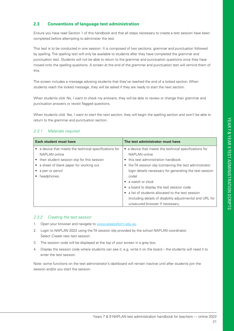#### **2.3 Conventions of language test administration**

Ensure you have read Section 1 of this handbook and that all steps necessary to create a test session have been completed before attempting to administer the test.

This test is to be conducted in one session. It is composed of two sections: grammar and punctuation followed by spelling. The spelling test will only be available to students after they have completed the grammar and punctuation test. Students will not be able to return to the grammar and punctuation questions once they have moved onto the spelling questions. A screen at the end of the grammar and punctuation test will remind them of this.

The screen includes a message advising students that they've reached the end of a locked section. When students reach the locked message, they will be asked if they are ready to start the next section.

When students click *No, I want to check my answers*, they will be able to review or change their grammar and punctuation answers or revisit flagged questions.

When students click *Yes, I want to start the next section*, they will begin the spelling section and won't be able to return to the grammar and punctuation section.

#### *2.3.1 Materials required*

| Each student must have                                   | The test administrator must have                          |  |
|----------------------------------------------------------|-----------------------------------------------------------|--|
| • a device that meets the technical specifications for   | • a device that meets the technical specifications for    |  |
| NAPLAN online                                            | NAPLAN online                                             |  |
| their student session slip for this session<br>$\bullet$ | this test administration handbook<br>$\bullet$            |  |
| a sheet of blank paper for working out                   | the TA session slip (containing the test administrator    |  |
| a pen or pencil                                          | login details necessary for generating the test session   |  |
| headphones.                                              | code)                                                     |  |
|                                                          | a watch or clock                                          |  |
|                                                          | a board to display the test session code<br>٠             |  |
|                                                          | a list of students allocated to the test session          |  |
|                                                          | (including details of disability adjustments) and URL for |  |
|                                                          | unsecured browser if necessary.                           |  |

#### *2.3.2 Creating the test session*

- 1. Open your browser and navigate to www.assessform.edu.au.
- 2. Login to NAPLAN 2022 using the TA session slip provided by the school NAPLAN coordinator. Select *Create new test session*.
- 3. The session code will be displayed at the top of your screen in a grey box.
- 4. Display the session code where students can see it, e.g. write it on the board the students will need it to enter the test session.

Note: some functions on the test administrator's dashboard will remain inactive until after students join the session and/or you start the session.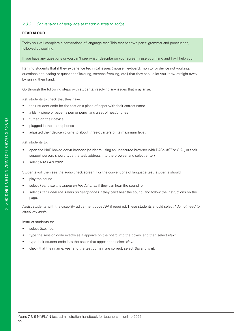#### *2.3.3 Conventions of language test administration script*

#### **READ ALOUD**

Today you will complete a conventions of language test. This test has two parts: grammar and punctuation, followed by spelling.

If you have any questions or you can't see what I describe on your screen, raise your hand and I will help you.

Remind students that if they experience technical issues (mouse, keyboard, monitor or device not working, questions not loading or questions flickering, screens freezing, etc.) that they should let you know straight away by raising their hand.

Go through the following steps with students, resolving any issues that may arise.

Ask students to check that they have:

- their student code for the test on a piece of paper with their correct name
- a blank piece of paper, a pen or pencil and a set of headphones
- turned on their device
- plugged in their headphones
- adjusted their device volume to about three-quarters of its maximum level.

#### Ask students to:

- open the NAP locked down browser (students using an unsecured browser with DACs *AST* or *COL*, or their support person, should type the web address into the browser and select enter)
- select *NAPLAN 2022*.

Students will then see the audio check screen. For the conventions of language test, students should:

- play the sound
- select *I can hear the sound on headphones* if they can hear the sound, or
- select *I can't hear the sound on headphones* if they can't hear the sound, and follow the instructions on the page.

Assist students with the disability adjustment code *AIA* if required. These students should select *I do not need to check my audio*.

#### Instruct students to:

- select *Start test*
- type the session code exactly as it appears on the board into the boxes, and then select *Next*
- type their student code into the boxes that appear and select *Next*
- check that their name, year and the test domain are correct, select *Yes* and wait.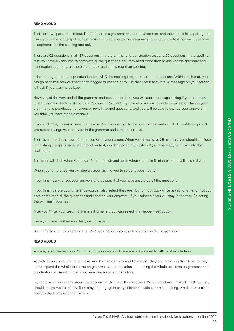#### **READ ALOUD**

There are two parts to this test. The first part is a grammar and punctuation test, and the second is a spelling test. Once you move to the spelling test, you cannot go back to the grammar and punctuation test. You will need your headphones for the spelling test only.

There are 52 questions in all: 27 questions in the grammar and punctuation test and 25 questions in the spelling test. You have 45 minutes to complete all the questions. You may need more time to answer the grammar and punctuation questions as there is more to read in this test than spelling.

In both the grammar and punctuation test AND the spelling test, there are three sections. Within each test, you can go back to a previous section to flagged questions or to just check your answers. A message on your screen will ask if you want to go back.

However, at the very end of the grammar and punctuation test, you will see a message asking if you are ready to start the next section. If you click *'No, I want to check my answers'* you will be able to review or change your grammar and punctuation answers or revisit flagged questions, and you will be able to change your answers if you think you have made a mistake.

If you click *'Yes, I want to start the next section'*, you will go to the spelling test and will NOT be able to go back and see or change your answers in the grammar and punctuation test.

There is a timer in the top left-hand corner of your screen. When your timer says 25 minutes, you should be close to finishing the grammar and punctuation test, which finishes at question 27, and be ready to move onto the spelling test.

The timer will flash when you have 10 minutes left and again when you have 5 minutes left. I will also tell you.

When your time ends you will see a screen asking you to select a *Finish* button.

If you finish early, check your answers and be sure that you have answered all the questions.

If you finish before your time ends you can also select the *Finish* button, but you will be asked whether or not you have completed all the questions and checked your answers. If you select *No* you will stay in the test. Selecting *Yes* will finish your test.

After you *Finish* your test, if there is still time left, you can select the *Reopen test* button.

Once you have finished your test, wait quietly.

Begin the session by selecting the *Start session* button on the test administrator's dashboard.

#### **READ ALOUD**

You may start the test now. You must do your own work. You are not allowed to talk to other students.

Actively supervise students to make sure they are on task and to see that they are managing their time so they do not spend the whole test time on grammar and punctuation – spending the whole test time on grammar and punctuation will result in them not receiving a score for spelling.

Students who finish early should be encouraged to check their answers. When they have finished checking, they should sit and wait patiently. They may not engage in early-finisher activities, such as reading, which may provide clues to the test question answers.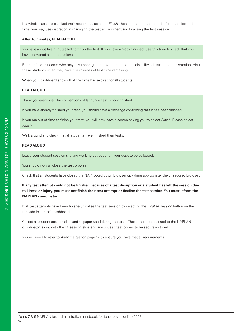If a whole class has checked their responses, selected *Finish*, then submitted their tests before the allocated time, you may use discretion in managing the test environment and finalising the test session.

#### **After 40 minutes, READ ALOUD**

You have about five minutes left to finish the test. If you have already finished, use this time to check that you have answered all the questions.

Be mindful of students who may have been granted extra time due to a disability adjustment or a disruption. Alert these students when they have five minutes of test time remaining.

When your dashboard shows that the time has expired for all students:

#### **READ ALOUD**

Thank you everyone. The conventions of language test is now finished.

If you have already finished your test, you should have a message confirming that it has been finished.

If you ran out of time to finish your test, you will now have a screen asking you to select *Finish*. Please select *Finish*.

Walk around and check that all students have finished their tests.

#### **READ ALOUD**

Leave your student session slip and working-out paper on your desk to be collected.

You should now all close the test browser.

Check that all students have closed the NAP locked down browser or, where appropriate, the unsecured browser.

**If any test attempt could not be finished because of a test disruption or a student has left the session due to illness or injury, you must not finish their test attempt or finalise the test session. You must inform the NAPLAN coordinator.**

If all test attempts have been finished, finalise the test session by selecting the *Finalise session* button on the test administrator's dashboard.

Collect all student session slips and all paper used during the tests. These must be returned to the NAPLAN coordinator, along with the TA session slips and any unused test codes, to be securely stored.

You will need to refer to *After the test* on page 12 to ensure you have met all requirements.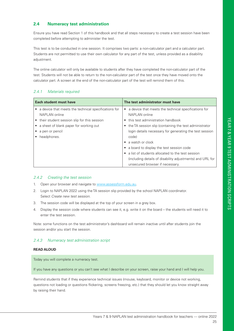#### **2.4 Numeracy test administration**

Ensure you have read Section 1 of this handbook and that all steps necessary to create a test session have been completed before attempting to administer the test.

This test is to be conducted in one session. It comprises two parts: a non-calculator part and a calculator part. Students are not permitted to use their own calculator for any part of the test, unless provided as a disability adiustment.

The online calculator will only be available to students after they have completed the non-calculator part of the test. Students will not be able to return to the non-calculator part of the test once they have moved onto the calculator part. A screen at the end of the non-calculator part of the test will remind them of this.

#### *2.4.1 Materials required*

| Each student must have                                            | The test administrator must have                                    |  |
|-------------------------------------------------------------------|---------------------------------------------------------------------|--|
| a device that meets the technical specifications for<br>$\bullet$ | a device that meets the technical specifications for<br>٠           |  |
| NAPLAN online                                                     | NAPLAN online                                                       |  |
| • their student session slip for this session                     | • this test administration handbook                                 |  |
| • a sheet of blank paper for working out                          | the TA session slip (containing the test administrator<br>$\bullet$ |  |
| a pen or pencil                                                   | login details necessary for generating the test session             |  |
| headphones.                                                       | code)                                                               |  |
|                                                                   | a watch or clock<br>$\bullet$                                       |  |
|                                                                   | a board to display the test session code<br>٠                       |  |
|                                                                   | a list of students allocated to the test session<br>$\bullet$       |  |
|                                                                   | (including details of disability adjustments) and URL for           |  |
|                                                                   | unsecured browser if necessary.                                     |  |

#### *2.4.2 Creating the test session*

- 1. Open your browser and navigate to www.assessform.edu.au.
- 2. Login to NAPLAN 2022 using the TA session slip provided by the school NAPLAN coordinator. Select *Create new test session*.
- 3. The session code will be displayed at the top of your screen in a grey box.
- 4. Display the session code where students can see it, e.g. write it on the board the students will need it to enter the test session.

Note: some functions on the test administrator's dashboard will remain inactive until after students join the session and/or you start the session.

#### *2.4.3 Numeracy test administration script*

#### **READ ALOUD**

Today you will complete a numeracy test.

If you have any questions or you can't see what I describe on your screen, raise your hand and I will help you.

Remind students that if they experience technical issues (mouse, keyboard, monitor or device not working, questions not loading or questions flickering, screens freezing, etc.) that they should let you know straight away by raising their hand.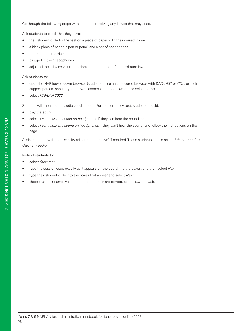Go through the following steps with students, resolving any issues that may arise.

Ask students to check that they have:

- their student code for the test on a piece of paper with their correct name
- a blank piece of paper, a pen or pencil and a set of headphones
- turned on their device
- plugged in their headphones
- adjusted their device volume to about three-quarters of its maximum level.

#### Ask students to:

- open the NAP locked down browser (students using an unsecured browser with DACs *AST* or *COL*, or their support person, should type the web address into the browser and select enter)
- select *NAPLAN 2022*.

Students will then see the audio check screen. For the numeracy test, students should:

- play the sound
- select *I can hear the sound on headphones* if they can hear the sound, or
- select *I can't hear the sound on headphones* if they can't hear the sound, and follow the instructions on the page.

Assist students with the disability adjustment code *AIA* if required. These students should select *I do not need to check my audio*.

Instruct students to:

- select *Start test*
- type the session code exactly as it appears on the board into the boxes, and then select *Next*
- type their student code into the boxes that appear and select *Next*
- check that their name, year and the test domain are correct, select *Yes* and wait.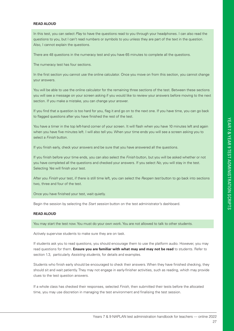#### **READ ALOUD**

In this test, you can select *Play* to have the questions read to you through your headphones. I can also read the questions to you, but I can't read numbers or symbols to you unless they are part of the text in the question. Also, I cannot explain the questions.

There are 48 questions in the numeracy test and you have 65 minutes to complete all the questions.

The numeracy test has four sections.

In the first section you cannot use the online calculator. Once you move on from this section, you cannot change your answers.

You will be able to use the online calculator for the remaining three sections of the test. Between these sections you will see a message on your screen asking if you would like to review your answers before moving to the next section. If you make a mistake, you can change your answer.

If you find that a question is too hard for you, flag it and go on to the next one. If you have time, you can go back to flagged questions after you have finished the rest of the test.

You have a timer in the top left-hand corner of your screen. It will flash when you have 10 minutes left and again when you have five minutes left. I will also tell you. When your time ends you will see a screen asking you to select a *Finish* button.

If you finish early, check your answers and be sure that you have answered all the questions.

If you finish before your time ends, you can also select the *Finish* button, but you will be asked whether or not you have completed all the questions and checked your answers. If you select *No,* you will stay in the test. Selecting *Yes* will finish your test.

After you *Finish* your test, if there is still time left, you can select the *Reopen test* button to go back into sections two, three and four of the test.

Once you have finished your test, wait quietly.

Begin the session by selecting the *Start session* button on the test administrator's dashboard.

#### **READ ALOUD**

You may start the test now. You must do your own work. You are not allowed to talk to other students.

Actively supervise students to make sure they are on task.

If students ask you to read questions, you should encourage them to use the platform audio. However, you may read questions for them. **Ensure you are familiar with what may and may not be read** to students. Refer to section 1.3, particularly *Assisting students*, for details and examples.

Students who finish early should be encouraged to check their answers. When they have finished checking, they should sit and wait patiently. They may not engage in early-finisher activities, such as reading, which may provide clues to the test question answers.

If a whole class has checked their responses, selected *Finish*, then submitted their tests before the allocated time, you may use discretion in managing the test environment and finalising the test session.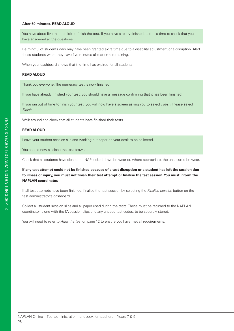#### **After 60 minutes, READ ALOUD**

You have about five minutes left to finish the test. If you have already finished, use this time to check that you have answered all the questions.

Be mindful of students who may have been granted extra time due to a disability adjustment or a disruption. Alert these students when they have five minutes of test time remaining.

When your dashboard shows that the time has expired for all students:

#### **READ ALOUD**

Thank you everyone. The numeracy test is now finished.

If you have already finished your test, you should have a message confirming that it has been finished.

If you ran out of time to finish your test, you will now have a screen asking you to select *Finish*. Please select *Finish*.

Walk around and check that all students have finished their tests.

#### **READ ALOUD**

Leave your student session slip and working-out paper on your desk to be collected.

You should now all close the test browser.

Check that all students have closed the NAP locked down browser or, where appropriate, the unsecured browser.

**If any test attempt could not be finished because of a test disruption or a student has left the session due to illness or injury, you must not finish their test attempt or finalise the test session. You must inform the NAPLAN coordinator.**

If all test attempts have been finished, finalise the test session by selecting the *Finalise session* button on the test administrator's dashboard.

Collect all student session slips and all paper used during the tests. These must be returned to the NAPLAN coordinator, along with the TA session slips and any unused test codes, to be securely stored.

You will need to refer to *After the test* on page 12 to ensure you have met all requirements.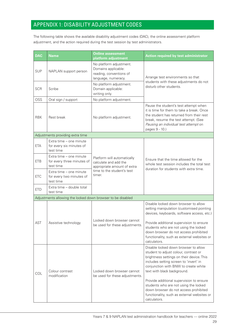### APPENDIX 1: DISABILITY ADJUSTMENT CODES

The following table shows the available disability adjustment codes (DAC), the online assessment platform adjustment, and the action required during the test session by test administrators.

| <b>DAC</b> | <b>Name</b>                                                        | <b>Online assessment</b><br>platform adjustment                                                  | <b>Action required by test administrator</b>                                                                                                                                                                                                                                                                                                                                                                                             |  |
|------------|--------------------------------------------------------------------|--------------------------------------------------------------------------------------------------|------------------------------------------------------------------------------------------------------------------------------------------------------------------------------------------------------------------------------------------------------------------------------------------------------------------------------------------------------------------------------------------------------------------------------------------|--|
| <b>SUP</b> | NAPLAN support person                                              | No platform adjustment.<br>Domains applicable:<br>reading, conventions of<br>language, numeracy. | Arrange test environments so that                                                                                                                                                                                                                                                                                                                                                                                                        |  |
| <b>SCR</b> | Scribe                                                             | No platform adjustment.<br>Domain applicable:<br>writing only.                                   | students with these adjustments do not<br>disturb other students.                                                                                                                                                                                                                                                                                                                                                                        |  |
| OSS        | Oral sign / support                                                | No platform adjustment.                                                                          |                                                                                                                                                                                                                                                                                                                                                                                                                                          |  |
| <b>RBK</b> | Rest break                                                         | No platform adjustment.                                                                          | Pause the student's test attempt when<br>it is time for them to take a break. Once<br>the student has returned from their rest<br>break, resume the test attempt. (See<br>Pausing an individual test attempt on<br>pages 9 - 10.)                                                                                                                                                                                                        |  |
|            | Adjustments providing extra time                                   |                                                                                                  |                                                                                                                                                                                                                                                                                                                                                                                                                                          |  |
| <b>ETA</b> | Extra time - one minute<br>for every six minutes of<br>test time   |                                                                                                  |                                                                                                                                                                                                                                                                                                                                                                                                                                          |  |
| <b>ETB</b> | Extra time - one minute<br>for every three minutes of<br>test time | Platform will automatically<br>calculate and add the<br>appropriate amount of extra              | Ensure that the time allowed for the<br>whole test session includes the total test<br>duration for students with extra time.                                                                                                                                                                                                                                                                                                             |  |
| <b>ETC</b> | Extra time - one minute<br>for every two minutes of<br>test time   | time to the student's test<br>timer.                                                             |                                                                                                                                                                                                                                                                                                                                                                                                                                          |  |
| <b>ETD</b> | Extra time - double total<br>test time                             |                                                                                                  |                                                                                                                                                                                                                                                                                                                                                                                                                                          |  |
|            | Adjustments allowing the locked down browser to be disabled        |                                                                                                  |                                                                                                                                                                                                                                                                                                                                                                                                                                          |  |
|            | Assistive technology                                               |                                                                                                  | Disable locked down browser to allow<br>setting manipulation (customised pointing<br>devices, keyboards, software access, etc.)                                                                                                                                                                                                                                                                                                          |  |
| <b>AST</b> |                                                                    | Locked down browser cannot<br>be used for these adjustments.                                     | Provide additional supervision to ensure<br>students who are not using the locked<br>down browser do not access prohibited<br>functionality, such as external websites or<br>calculators.                                                                                                                                                                                                                                                |  |
| COL        | Colour contrast<br>modification                                    | Locked down browser cannot<br>be used for these adjustments.                                     | Disable locked down browser to allow<br>student to adjust colour, contrast or<br>brightness settings on their device. This<br>includes setting screen to 'invert' in<br>conjunction with BNW to create white<br>text with black background.<br>Provide additional supervision to ensure<br>students who are not using the locked<br>down browser do not access prohibited<br>functionality, such as external websites or<br>calculators. |  |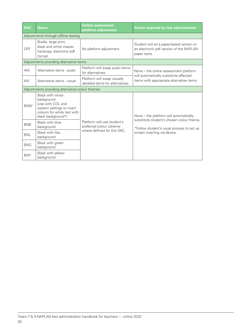| <b>DAC</b>                                      | <b>Name</b>                                                                                                                           | <b>Online assessment</b><br>platform adjustment                                       | Action required by test administrator                                                                                                                            |
|-------------------------------------------------|---------------------------------------------------------------------------------------------------------------------------------------|---------------------------------------------------------------------------------------|------------------------------------------------------------------------------------------------------------------------------------------------------------------|
| Adjustments through offline testing             |                                                                                                                                       |                                                                                       |                                                                                                                                                                  |
| OFF                                             | Braille, large print,<br>black and white master<br>hardcopy, electronic pdf<br>format                                                 | No platform adjustment.                                                               | Student will sit a paper-based version or<br>an electronic pdf version of the NAPLAN<br>paper tests.                                                             |
| Adjustments providing alternative items         |                                                                                                                                       |                                                                                       |                                                                                                                                                                  |
| <b>AIA</b>                                      | Alternative items - audio                                                                                                             | Platform will swap audio items<br>for alternatives.                                   | None – the online assessment platform<br>will automatically substitute affected<br>items with appropriate alternative items.                                     |
| AIV                                             | Alternative items - visual                                                                                                            | Platform will swap visually<br>detailed items for alternatives.                       |                                                                                                                                                                  |
| Adjustments providing alternative colour themes |                                                                                                                                       |                                                                                       |                                                                                                                                                                  |
| <b>BNW</b>                                      | Black with white<br>background<br>(use with COL and<br>system settings to invert<br>colours for white text with<br>black background*) | Platform will use student's<br>preferred colour scheme<br>where defined for this DAC. | None – the platform will automatically<br>substitute student's chosen colour theme.<br>*Follow student's usual process to set up<br>screen inverting via device. |
| <b>BNB</b>                                      | Black with blue<br>background                                                                                                         |                                                                                       |                                                                                                                                                                  |
| <b>BNL</b>                                      | Black with lilac<br>background                                                                                                        |                                                                                       |                                                                                                                                                                  |
| <b>BNG</b>                                      | Black with green<br>background                                                                                                        |                                                                                       |                                                                                                                                                                  |
| <b>BNY</b>                                      | Black with yellow<br>background                                                                                                       |                                                                                       |                                                                                                                                                                  |